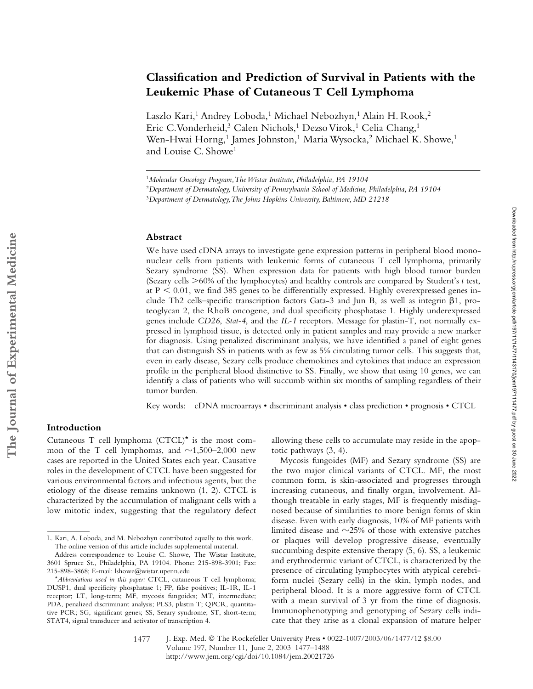# **Classification and Prediction of Survival in Patients with the Leukemic Phase of Cutaneous T Cell Lymphoma**

Laszlo Kari,<sup>1</sup> Andrey Loboda,<sup>1</sup> Michael Nebozhyn,<sup>1</sup> Alain H. Rook,<sup>2</sup> Eric C. Vonderheid,<sup>3</sup> Calen Nichols,<sup>1</sup> Dezso Virok,<sup>1</sup> Celia Chang,<sup>1</sup> Wen-Hwai Horng,<sup>1</sup> James Johnston,<sup>1</sup> Maria Wysocka,<sup>2</sup> Michael K. Showe,<sup>1</sup> and Louise C. Showe<sup>1</sup>

#### **Abstract**

We have used cDNA arrays to investigate gene expression patterns in peripheral blood mononuclear cells from patients with leukemic forms of cutaneous T cell lymphoma, primarily Sezary syndrome (SS). When expression data for patients with high blood tumor burden (Sezary cells -60% of the lymphocytes) and healthy controls are compared by Student's *t* test, at  $P < 0.01$ , we find 385 genes to be differentially expressed. Highly overexpressed genes include Th2 cells–specific transcription factors Gata-3 and Jun B, as well as integrin  $\beta$ 1, proteoglycan 2, the RhoB oncogene, and dual specificity phosphatase 1. Highly underexpressed genes include *CD26*, *Stat-4*, and the *IL-1* receptors. Message for plastin-T, not normally expressed in lymphoid tissue, is detected only in patient samples and may provide a new marker for diagnosis. Using penalized discriminant analysis, we have identified a panel of eight genes that can distinguish SS in patients with as few as 5% circulating tumor cells. This suggests that, even in early disease, Sezary cells produce chemokines and cytokines that induce an expression profile in the peripheral blood distinctive to SS. Finally, we show that using 10 genes, we can identify a class of patients who will succumb within six months of sampling regardless of their tumor burden.

Key words: cDNA microarrays • discriminant analysis • class prediction • prognosis • CTCL

# **Introduction**

Cutaneous T cell lymphoma (CTCL)\* is the most common of the T cell lymphomas, and  $\sim$ 1,500–2,000 new cases are reported in the United States each year. Causative roles in the development of CTCL have been suggested for various environmental factors and infectious agents, but the etiology of the disease remains unknown (1, 2). CTCL is characterized by the accumulation of malignant cells with a low mitotic index, suggesting that the regulatory defect allowing these cells to accumulate may reside in the apoptotic pathways (3, 4).

Mycosis fungoides (MF) and Sezary syndrome (SS) are the two major clinical variants of CTCL. MF, the most common form, is skin-associated and progresses through increasing cutaneous, and finally organ, involvement. Although treatable in early stages, MF is frequently misdiagnosed because of similarities to more benign forms of skin disease. Even with early diagnosis, 10% of MF patients with limited disease and  $\sim$ 25% of those with extensive patches or plaques will develop progressive disease, eventually succumbing despite extensive therapy (5, 6). SS, a leukemic and erythrodermic variant of CTCL, is characterized by the presence of circulating lymphocytes with atypical cerebriform nuclei (Sezary cells) in the skin, lymph nodes, and peripheral blood. It is a more aggressive form of CTCL with a mean survival of 3 yr from the time of diagnosis. Immunophenotyping and genotyping of Sezary cells indicate that they arise as a clonal expansion of mature helper

<sup>1</sup>*Molecular Oncology Program, The Wistar Institute, Philadelphia, PA 19104*

<sup>2</sup>*Department of Dermatology, University of Pennsylvania School of Medicine, Philadelphia, PA 19104*

<sup>3</sup>*Department of Dermatology, The Johns Hopkins University, Baltimore, MD 21218*

L. Kari, A. Loboda, and M. Nebozhyn contributed equally to this work. The online version of this article includes supplemental material.

Address correspondence to Louise C. Showe, The Wistar Institute, 3601 Spruce St., Philadelphia, PA 19104. Phone: 215-898-3901; Fax: 215-898-3868; E-mail: lshowe@wistar.upenn.edu

<sup>\*</sup>*Abbreviations used in this paper:* CTCL, cutaneous T cell lymphoma; DUSP1, dual specificity phosphatase 1; FP, false positives; IL-1R, IL-1 receptor; LT, long-term; MF, mycosis fungoides; MT, intermediate; PDA, penalized discriminant analysis; PLS3, plastin T; QPCR, quantitative PCR; SG, significant genes; SS, Sezary syndrome; ST, short-term; STAT4, signal transducer and activator of transcription 4.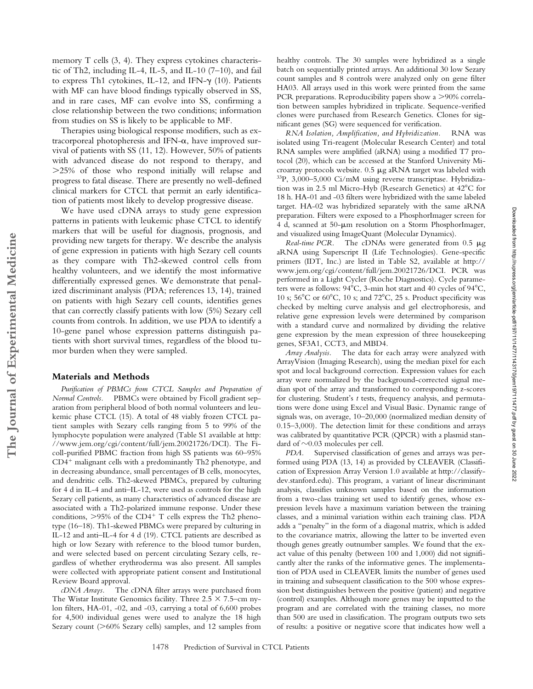memory T cells (3, 4). They express cytokines characteristic of Th2, including IL-4, IL-5, and IL-10 (7–10), and fail to express Th1 cytokines, IL-12, and IFN- $\gamma$  (10). Patients with MF can have blood findings typically observed in SS, and in rare cases, MF can evolve into SS, confirming a close relationship between the two conditions; information from studies on SS is likely to be applicable to MF.

Therapies using biological response modifiers, such as extracorporeal photopheresis and IFN- $\alpha$ , have improved survival of patients with SS (11, 12). However, 50% of patients with advanced disease do not respond to therapy, and -25% of those who respond initially will relapse and progress to fatal disease. There are presently no well-defined clinical markers for CTCL that permit an early identification of patients most likely to develop progressive disease.

We have used cDNA arrays to study gene expression patterns in patients with leukemic phase CTCL to identify markers that will be useful for diagnosis, prognosis, and providing new targets for therapy. We describe the analysis of gene expression in patients with high Sezary cell counts as they compare with Th2-skewed control cells from healthy volunteers, and we identify the most informative differentially expressed genes. We demonstrate that penalized discriminant analysis (PDA; references 13, 14), trained on patients with high Sezary cell counts, identifies genes that can correctly classify patients with low (5%) Sezary cell counts from controls. In addition, we use PDA to identify a 10-gene panel whose expression patterns distinguish patients with short survival times, regardless of the blood tumor burden when they were sampled.

### **Materials and Methods**

**The Journal of Experimental Medicine**

The Journal of Experimental Medicine

*Purification of PBMCs from CTCL Samples and Preparation of Normal Controls.* PBMCs were obtained by Ficoll gradient separation from peripheral blood of both normal volunteers and leukemic phase CTCL (15). A total of 48 viably frozen CTCL patient samples with Sezary cells ranging from 5 to 99% of the lymphocyte population were analyzed (Table S1 available at http: //www.jem.org/cgi/content/full/jem.20021726/DCI). The Ficoll-purified PBMC fraction from high SS patients was 60–95%  $CD4<sup>+</sup>$  malignant cells with a predominantly Th2 phenotype, and in decreasing abundance, small percentages of B cells, monocytes, and dendritic cells. Th2-skewed PBMCs, prepared by culturing for 4 d in IL-4 and anti–IL-12, were used as controls for the high Sezary cell patients, as many characteristics of advanced disease are associated with a Th2-polarized immune response. Under these conditions,  $>95\%$  of the CD4<sup>+</sup> T cells express the Th2 phenotype (16–18). Th1-skewed PBMCs were prepared by culturing in IL-12 and anti–IL-4 for 4 d (19). CTCL patients are described as high or low Sezary with reference to the blood tumor burden, and were selected based on percent circulating Sezary cells, regardless of whether erythroderma was also present. All samples were collected with appropriate patient consent and Institutional Review Board approval.

*cDNA Arrays.* The cDNA filter arrays were purchased from The Wistar Institute Genomics facility. Three  $2.5 \times 7.5$ –cm nylon filters, HA-01, -02, and -03, carrying a total of 6,600 probes for 4,500 individual genes were used to analyze the 18 high Sezary count (>60% Sezary cells) samples, and 12 samples from

healthy controls. The 30 samples were hybridized as a single batch on sequentially printed arrays. An additional 30 low Sezary count samples and 8 controls were analyzed only on gene filter HA03. All arrays used in this work were printed from the same PCR preparations. Reproducibility papers show a >90% correlation between samples hybridized in triplicate. Sequence-verified clones were purchased from Research Genetics. Clones for significant genes (SG) were sequenced for verification.

*RNA Isolation, Amplification, and Hybridization.* RNA was isolated using Tri-reagent (Molecular Research Center) and total RNA samples were amplified (aRNA) using a modified T7 protocol (20), which can be accessed at the Stanford University Microarray protocols website.  $0.5 \mu$ g aRNA target was labeled with 33P, 3,000–5,000 Ci/mM using reverse transcriptase. Hybridization was in 2.5 ml Micro-Hyb (Research Genetics) at 42 C for 18 h. HA-01 and -03 filters were hybridized with the same labeled target. HA-02 was hybridized separately with the same aRNA preparation. Filters were exposed to a PhosphorImager screen for 4 d, scanned at 50- $\mu$ m resolution on a Storm PhosphorImager, and visualized using ImageQuant (Molecular Dynamics).

*Real-time PCR.* The cDNAs were generated from 0.5  $\mu$ g aRNA using Superscript II (Life Technologies). Gene-specific primers (IDT, Inc.) are listed in Table S2, available at http:// www.jem.org/cgi/content/full/jem.20021726/DCI. PCR was performed in a Light Cycler (Roche Diagnostics). Cycle parameters were as follows: 94 C, 3-min hot start and 40 cycles of 94 C, 10 s; 56 C or 60 C, 10 s; and 72 C, 25 s. Product specificity was checked by melting curve analysis and gel electrophoresis, and relative gene expression levels were determined by comparison with a standard curve and normalized by dividing the relative gene expression by the mean expression of three housekeeping genes, SF3A1, CCT3, and MBD4.

*Array Analysis.* The data for each array were analyzed with ArrayVision (Imaging Research), using the median pixel for each spot and local background correction. Expression values for each array were normalized by the background-corrected signal median spot of the array and transformed to corresponding z-scores for clustering. Student's *t* tests, frequency analysis, and permutations were done using Excel and Visual Basic. Dynamic range of signals was, on average, 10–20,000 (normalized median density of 0.15–3,000). The detection limit for these conditions and arrays was calibrated by quantitative PCR (QPCR) with a plasmid standard of  $\sim 0.03$  molecules per cell.

*PDA.* Supervised classification of genes and arrays was performed using PDA (13, 14) as provided by CLEAVER (Classification of Expression Array Version 1.0 available at http://classifydev.stanford.edu). This program, a variant of linear discriminant analysis, classifies unknown samples based on the information from a two-class training set used to identify genes, whose expression levels have a maximum variation between the training classes, and a minimal variation within each training class. PDA adds a "penalty" in the form of a diagonal matrix, which is added to the covariance matrix, allowing the latter to be inverted even though genes greatly outnumber samples. We found that the exact value of this penalty (between 100 and 1,000) did not significantly alter the ranks of the informative genes. The implementation of PDA used in CLEAVER limits the number of genes used in training and subsequent classification to the 500 whose expression best distinguishes between the positive (patient) and negative (control) examples. Although more genes may be inputted to the program and are correlated with the training classes, no more than 500 are used in classification. The program outputs two sets of results: a positive or negative score that indicates how well a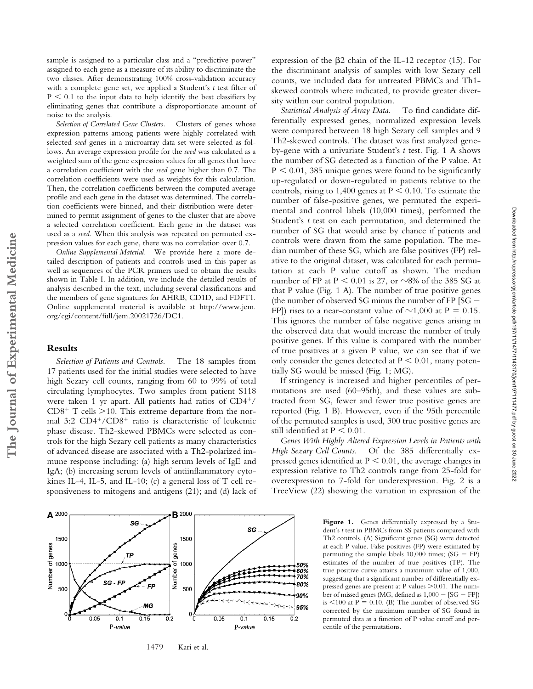sample is assigned to a particular class and a "predictive power" assigned to each gene as a measure of its ability to discriminate the two classes. After demonstrating 100% cross-validation accuracy with a complete gene set, we applied a Student's *t* test filter of  $P < 0.1$  to the input data to help identify the best classifiers by eliminating genes that contribute a disproportionate amount of noise to the analysis.

*Selection of Correlated Gene Clusters.* Clusters of genes whose expression patterns among patients were highly correlated with selected *seed* genes in a microarray data set were selected as follows. An average expression profile for the *seed* was calculated as a weighted sum of the gene expression values for all genes that have a correlation coefficient with the *seed* gene higher than 0.7. The correlation coefficients were used as weights for this calculation. Then, the correlation coefficients between the computed average profile and each gene in the dataset was determined. The correlation coefficients were binned, and their distribution were determined to permit assignment of genes to the cluster that are above a selected correlation coefficient. Each gene in the dataset was used as a *seed*. When this analysis was repeated on permuted expression values for each gene, there was no correlation over 0.7.

*Online Supplemental Material.* We provide here a more detailed description of patients and controls used in this paper as well as sequences of the PCR primers used to obtain the results shown in Table I. In addition, we include the detailed results of analysis described in the text, including several classifications and the members of gene signatures for AHRB, CD1D, and FDFT1. Online supplemental material is available at http://www.jem. org/cgi/content/full/jem.20021726/DC1.

#### **Results**

**The Journal of Experimental Medicine**

The Journal of Experimental Medicine

*Selection of Patients and Controls.* The 18 samples from 17 patients used for the initial studies were selected to have high Sezary cell counts, ranging from 60 to 99% of total circulating lymphocytes. Two samples from patient S118 were taken 1 yr apart. All patients had ratios of CD4+/  $CD8<sup>+</sup>$  T cells  $>$ 10. This extreme departure from the normal 3:2 CD4+/CD8+ ratio is characteristic of leukemic phase disease. Th2-skewed PBMCs were selected as controls for the high Sezary cell patients as many characteristics of advanced disease are associated with a Th2-polarized immune response including: (a) high serum levels of IgE and IgA; (b) increasing serum levels of antiinflammatory cytokines IL-4, IL-5, and IL-10; (c) a general loss of T cell responsiveness to mitogens and antigens (21); and (d) lack of expression of the  $\beta$ 2 chain of the IL-12 receptor (15). For the discriminant analysis of samples with low Sezary cell counts, we included data for untreated PBMCs and Th1 skewed controls where indicated, to provide greater diversity within our control population.

*Statistical Analysis of Array Data.* To find candidate differentially expressed genes, normalized expression levels were compared between 18 high Sezary cell samples and 9 Th2-skewed controls. The dataset was first analyzed geneby-gene with a univariate Student's *t* test. Fig. 1 A shows the number of SG detected as a function of the P value. At  $P < 0.01$ , 385 unique genes were found to be significantly up-regulated or down-regulated in patients relative to the controls, rising to 1,400 genes at  $P \le 0.10$ . To estimate the number of false-positive genes, we permuted the experimental and control labels (10,000 times), performed the Student's *t* test on each permutation, and determined the number of SG that would arise by chance if patients and controls were drawn from the same population. The median number of these SG, which are false positives (FP) relative to the original dataset, was calculated for each permutation at each P value cutoff as shown. The median number of FP at  $P < 0.01$  is 27, or  $\sim 8\%$  of the 385 SG at that P value (Fig. 1 A). The number of true positive genes (the number of observed SG minus the number of FP  $[SG -$ FP]) rises to a near-constant value of  $\sim$ 1,000 at P = 0.15. This ignores the number of false negative genes arising in the observed data that would increase the number of truly positive genes. If this value is compared with the number of true positives at a given P value, we can see that if we only consider the genes detected at  $P \le 0.01$ , many potentially SG would be missed (Fig. 1; MG).

If stringency is increased and higher percentiles of permutations are used (60–95th), and these values are subtracted from SG, fewer and fewer true positive genes are reported (Fig. 1 B). However, even if the 95th percentile of the permuted samples is used, 300 true positive genes are still identified at  $P < 0.01$ .

*Genes With Highly Altered Expression Levels in Patients with High Sezary Cell Counts.* Of the 385 differentially expressed genes identified at  $P \leq 0.01$ , the average changes in expression relative to Th2 controls range from 25-fold for overexpression to 7-fold for underexpression. Fig. 2 is a TreeView (22) showing the variation in expression of the

> Figure 1. Genes differentially expressed by a Student's *t* test in PBMCs from SS patients compared with Th2 controls. (A) Significant genes (SG) were detected at each P value. False positives (FP) were estimated by permuting the sample labels  $10,000$  times; (SG - FP) estimates of the number of true positives (TP). The true positive curve attains a maximum value of 1,000, suggesting that a significant number of differentially expressed genes are present at P values  $>$  0.01. The number of missed genes (MG, defined as  $1,000 - [SG - FP]$ ) is  $\leq 100$  at P = 0.10. (B) The number of observed SG corrected by the maximum number of SG found in permuted data as a function of P value cutoff and percentile of the permutations.



1479 Kari et al.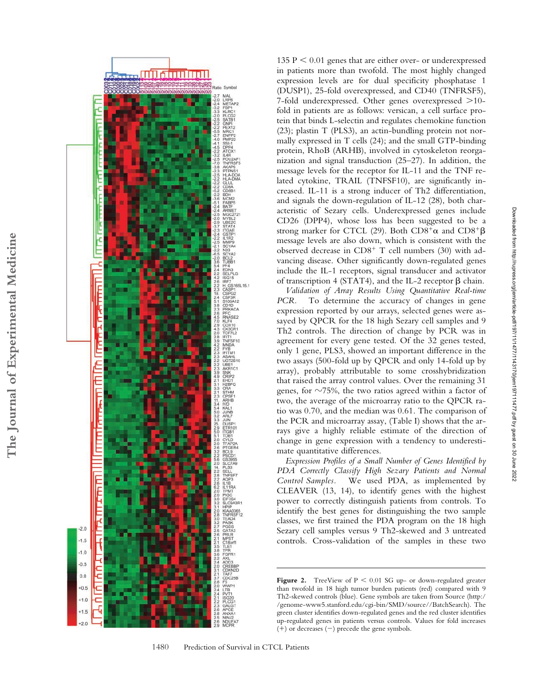

135  $P < 0.01$  genes that are either over- or underexpressed in patients more than twofold. The most highly changed expression levels are for dual specificity phosphatase 1 (DUSP1), 25-fold overexpressed, and CD40 (TNFRSF5), 7-fold underexpressed. Other genes overexpressed >10fold in patients are as follows: versican, a cell surface protein that binds L-selectin and regulates chemokine function (23); plastin T (PLS3), an actin-bundling protein not normally expressed in T cells (24); and the small GTP-binding protein, RhoB (ARHB), involved in cytoskeleton reorganization and signal transduction (25–27). In addition, the message levels for the receptor for IL-11 and the TNF related cytokine, TRAIL (TNFSF10), are significantly increased. IL-11 is a strong inducer of Th2 differentiation, and signals the down-regulation of IL-12 (28), both characteristic of Sezary cells. Underexpressed genes include CD26 (DPP4), whose loss has been suggested to be a strong marker for CTCL (29). Both  $CD8^+\alpha$  and  $CD8^+\beta$ message levels are also down, which is consistent with the observed decrease in CD8<sup>+</sup> T cell numbers (30) with advancing disease. Other significantly down-regulated genes include the IL-1 receptors, signal transducer and activator of transcription 4 (STAT4), and the IL-2 receptor  $\beta$  chain.

*Validation of Array Results Using Quantitative Real-time PCR*. To determine the accuracy of changes in gene expression reported by our arrays, selected genes were assayed by QPCR for the 18 high Sezary cell samples and 9 Th2 controls. The direction of change by PCR was in agreement for every gene tested. Of the 32 genes tested, only 1 gene, PLS3, showed an important difference in the two assays (500-fold up by QPCR and only 14-fold up by array), probably attributable to some crosshybridization that raised the array control values. Over the remaining 31 genes, for  $\sim$ 75%, the two ratios agreed within a factor of two, the average of the microarray ratio to the QPCR ratio was 0.70, and the median was 0.61. The comparison of the PCR and microarray assay, (Table I) shows that the arrays give a highly reliable estimate of the direction of change in gene expression with a tendency to underestimate quantitative differences.

*Expression Profiles of a Small Number of Genes Identified by PDA Correctly Classify High Sezary Patients and Normal Control Samples.* We used PDA, as implemented by CLEAVER (13, 14), to identify genes with the highest power to correctly distinguish patients from controls. To identify the best genes for distinguishing the two sample classes, we first trained the PDA program on the 18 high Sezary cell samples versus 9 Th2-skewed and 3 untreated controls. Cross-validation of the samples in these two

**Figure 2.** TreeView of P < 0.01 SG up- or down-regulated greater than twofold in 18 high tumor burden patients (red) compared with 9 Th2-skewed controls (blue). Gene symbols are taken from Source (http:/ /genome-www5.stanford.edu/cgi-bin/SMD/source//BatchSearch). The green cluster identifies down-regulated genes and the red cluster identifies up-regulated genes in patients versus controls. Values for fold increases  $(+)$  or decreases  $(-)$  precede the gene symbols.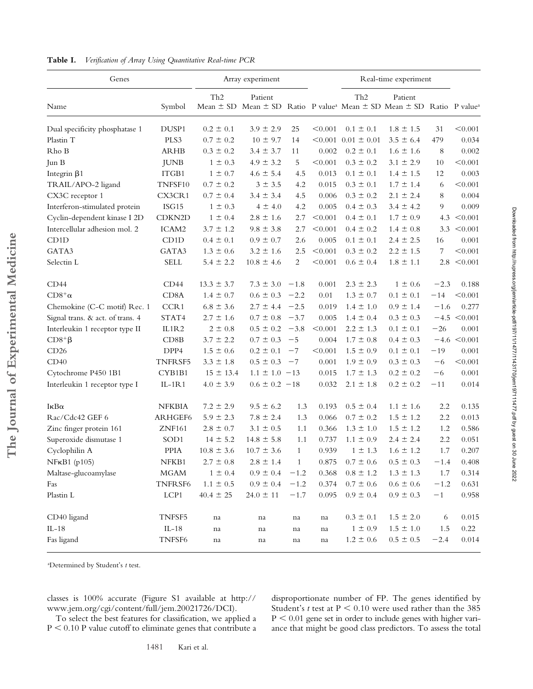| Genes                            |                    | Array experiment |                    |              |         | Real-time experiment      |                                                                                                          |        |                  |
|----------------------------------|--------------------|------------------|--------------------|--------------|---------|---------------------------|----------------------------------------------------------------------------------------------------------|--------|------------------|
| Name                             | Symbol             | Th <sub>2</sub>  | Patient            |              |         | Th <sub>2</sub>           | Patient<br>Mean ± SD Mean ± SD Ratio P value <sup>a</sup> Mean ± SD Mean ± SD Ratio P value <sup>a</sup> |        |                  |
| Dual specificity phosphatase 1   | DUSP1              | $0.2 \pm 0.1$    | $3.9 \pm 2.9$      | 25           | < 0.001 | $0.1 \pm 0.1$             | $1.8 \pm 1.5$                                                                                            | 31     | < 0.001          |
| Plastin T                        | PLS3               | $0.7 \pm 0.2$    | $10 \pm 9.7$       | 14           |         | $< 0.001$ 0.01 $\pm$ 0.01 | $3.5 \pm 6.4$                                                                                            | 479    | 0.034            |
| Rho B                            | <b>ARHB</b>        | $0.3 \pm 0.2$    | $3.4 \pm 3.7$      | 11           | 0.002   | $0.2 \pm 0.1$             | $1.6 \pm 1.6$                                                                                            | 8      | 0.002            |
| Jun B                            | JUNB               | $1 \pm 0.3$      | $4.9 \pm 3.2$      | 5            | < 0.001 | $0.3 \pm 0.2$             | $3.1 \pm 2.9$                                                                                            | 10     | < 0.001          |
| Integrin $\beta$ 1               | ITGB1              | $1 \pm 0.7$      | $4.6 \pm 5.4$      | 4.5          | 0.013   | $0.1 \pm 0.1$             | $1.4 \pm 1.5$                                                                                            | 12     | 0.003            |
| TRAIL/APO-2 ligand               | TNFSF10            | $0.7 \pm 0.2$    | $3 \pm 3.5$        | 4.2          | 0.015   | $0.3 \pm 0.1$             | $1.7 \pm 1.4$                                                                                            | 6      | < 0.001          |
| CX3C receptor 1                  | CX3CR1             | $0.7 \pm 0.4$    | $3.4 \pm 3.4$      | 4.5          | 0.006   | $0.3 \pm 0.2$             | $2.1 \pm 2.4$                                                                                            | 8      | 0.004            |
| Interferon-stimulated protein    | ISG15              | $1 \pm 0.3$      | $4 \pm 4.0$        | 4.2          | 0.005   | $0.4 \pm 0.3$             | $3.4 \pm 4.2$                                                                                            | 9      | 0.009            |
| Cyclin-dependent kinase I 2D     | CDKN2D             | $1 \pm 0.4$      | $2.8 \pm 1.6$      | 2.7          | < 0.001 | $0.4 \pm 0.1$             | $1.7 \pm 0.9$                                                                                            |        | 4.3 $< 0.001$    |
| Intercellular adhesion mol. 2    | ICAM2              | $3.7 \pm 1.2$    | $9.8 \pm 3.8$      | 2.7          | < 0.001 | $0.4 \pm 0.2$             | $1.4 \pm 0.8$                                                                                            | 3.3    | < 0.001          |
| CD1D                             | CD1D               | $0.4 \pm 0.1$    | $0.9 \pm 0.7$      | 2.6          | 0.005   | $0.1 \pm 0.1$             | $2.4 \pm 2.5$                                                                                            | 16     | 0.001            |
| GATA3                            | GATA3              | $1.3 \pm 0.6$    | $3.2 \pm 1.6$      | 2.5          | < 0.001 | $0.3 \pm 0.2$             | $2.2 \pm 1.5$                                                                                            | 7      | < 0.001          |
| Selectin L                       | <b>SELL</b>        | $5.4 \pm 2.2$    | $10.8 \pm 4.6$     | 2            | < 0.001 | $0.6 \pm 0.4$             | $1.8 \pm 1.1$                                                                                            | 2.8    | < 0.001          |
| CD44                             | CD44               | $13.3 \pm 3.7$   | $7.3 \pm 3.0$      | $-1.8$       | 0.001   | $2.3 \pm 2.3$             | $1 \pm 0.6$                                                                                              | $-2.3$ | 0.188            |
| $CD8^+\alpha$                    | CD <sub>8</sub> A  | $1.4 \pm 0.7$    | $0.6 \pm 0.3$      | $-2.2$       | 0.01    | $1.3 \pm 0.7$             | $0.1 \pm 0.1$                                                                                            | $-14$  | < 0.001          |
| Chemokine (C-C motif) Rec. 1     | CCR1               | $6.8 \pm 3.6$    | $2.7 \pm 4.4$ -2.5 |              | 0.019   | $1.4 \pm 1.0$             | $0.9 \pm 1.4$                                                                                            | $-1.6$ | 0.277            |
| Signal trans. & act. of trans. 4 | STAT4              | $2.7 \pm 1.6$    | $0.7 \pm 0.8$ -3.7 |              | 0.005   | $1.4 \pm 0.4$             | $0.3 \pm 0.3$                                                                                            |        | $-4.5 \le 0.001$ |
| Interleukin 1 receptor type II   | IL1R2              | $2 \pm 0.8$      | $0.5 \pm 0.2 -3.8$ |              | < 0.001 | $2.2 \pm 1.3$             | $0.1 \pm 0.1$                                                                                            | $-26$  | 0.001            |
| $CD8^+$ $\beta$                  | CD8B               | $3.7 \pm 2.2$    | $0.7 \pm 0.3$      | $-5$         | 0.004   | $1.7 \pm 0.8$             | $0.4 \pm 0.3$                                                                                            |        | $-4.6 \le 0.001$ |
| CD26                             | DPP4               | $1.5 \pm 0.6$    | $0.2 \pm 0.1$      | $-7$         | < 0.001 | $1.5 \pm 0.9$             | $0.1 \pm 0.1$                                                                                            | $-19$  | 0.001            |
| CD40                             | <b>TNFRSF5</b>     | $3.3 \pm 1.8$    | $0.5 \pm 0.3$      | $-7$         | 0.001   | $1.9 \pm 0.9$             | $0.3 \pm 0.3$                                                                                            | $-6$   | < 0.001          |
| Cytochrome P450 1B1              | CYB1B1             | $15 \pm 13.4$    | $1.1 \pm 1.0 -13$  |              | 0.015   | $1.7 \pm 1.3$             | $0.2 \pm 0.2$                                                                                            | $-6$   | 0.001            |
| Interleukin 1 receptor type I    | $IL-1R1$           | $4.0 \pm 3.9$    | $0.6 \pm 0.2 -18$  |              | 0.032   | $2.1 \pm 1.8$             | $0.2 \pm 0.2$                                                                                            | $-11$  | 0.014            |
| $I\kappa B\alpha$                | <b>NFKBIA</b>      | $7.2 \pm 2.9$    | $9.5 \pm 6.2$      | 1.3          | 0.193   | $0.5 \pm 0.4$             | $1.1 \pm 1.6$                                                                                            | 2.2    | 0.135            |
| Rac/Cdc42 GEF 6                  | ARHGEF6            | $5.9 \pm 2.3$    | $7.8 \pm 2.4$      | 1.3          | 0.066   | $0.7 \pm 0.2$             | $1.5 \pm 1.2$                                                                                            | 2.2    | 0.013            |
| Zinc finger protein 161          | <b>ZNF161</b>      | $2.8 \pm 0.7$    | $3.1 \pm 0.5$      | 1.1          | 0.366   | $1.3 \pm 1.0$             | $1.5 \pm 1.2$                                                                                            | 1.2    | 0.586            |
| Superoxide dismutase 1           | SOD1               | $14 \pm 5.2$     | $14.8 \pm 5.8$     | 1.1          | 0.737   | $1.1 \pm 0.9$             | $2.4 \pm 2.4$                                                                                            | 2.2    | 0.051            |
| Cyclophilin A                    | PPIA               | $10.8 \pm 3.6$   | $10.7 \pm 3.6$     | $\mathbf{1}$ | 0.939   | $1 \pm 1.3$               | $1.6 \pm 1.2$                                                                                            | 1.7    | 0.207            |
| NFKB1 (p105)                     | NFKB1              | $2.7 \pm 0.8$    | $2.8 \pm 1.4$      | 1            | 0.875   | $0.7 \pm 0.6$             | $0.5\,\pm\,0.3$                                                                                          | $-1.4$ | 0.408            |
| Maltase-glucoamylase             | MGAM               | $1 \pm 0.4$      | $0.9 \pm 0.4$      | $-1.2$       | 0.368   | $0.8 \pm 1.2$             | $1.3 \pm 1.3$                                                                                            | 1.7    | 0.314            |
| Fas                              | TNFRSF6            | $1.1 \pm 0.5$    | $0.9 \pm 0.4$      | $-1.2$       | 0.374   | $0.7 \pm 0.6$             | $0.6\,\pm\,0.6$                                                                                          | $-1.2$ | 0.631            |
| Plastin L                        | LCP1               | $40.4 \pm 25$    | $24.0 \pm 11$      | $-1.7$       | 0.095   | $0.9 \pm 0.4$             | $0.9 \pm 0.3$                                                                                            | $-1$   | 0.958            |
| CD40 ligand                      | TNFSF5             | na               | na                 | na           | na      | $0.3 \pm 0.1$             | $1.5 \pm 2.0$                                                                                            | 6      | 0.015            |
| $IL-18$                          | $IL-18$            | na               | na                 | na           | na      | $1\,\pm\,0.9$             | $1.5 \pm 1.0$                                                                                            | 1.5    | 0.22             |
| Fas ligand                       | TNFSF <sub>6</sub> | na               | na                 | na           | na      | $1.2 \pm 0.6$             | $0.5\,\pm\,0.5$                                                                                          | $-2.4$ | 0.014            |

**Table I.** *Verification of Array Using Quantitative Real-time PCR*

a Determined by Student's *t* test.

**The Journal of Experimental Medicine**

The Journal of Experimental Medicine

classes is 100% accurate (Figure S1 available at http:// www.jem.org/cgi/content/full/jem.20021726/DCI).

To select the best features for classification, we applied a  $P < 0.10$  P value cutoff to eliminate genes that contribute a

disproportionate number of FP. The genes identified by Student's *t* test at  $P < 0.10$  were used rather than the 385  $P < 0.01$  gene set in order to include genes with higher variance that might be good class predictors. To assess the total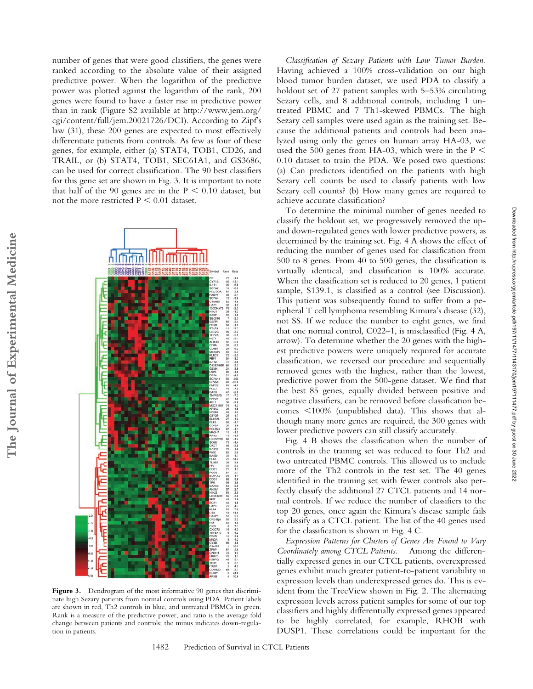number of genes that were good classifiers, the genes were ranked according to the absolute value of their assigned predictive power. When the logarithm of the predictive power was plotted against the logarithm of the rank, 200 genes were found to have a faster rise in predictive power than in rank (Figure S2 available at http://www.jem.org/ cgi/content/full/jem.20021726/DCI). According to Zipf's law (31), these 200 genes are expected to most effectively differentiate patients from controls. As few as four of these genes, for example, either (a) STAT4, TOB1, CD26, and TRAIL, or (b) STAT4, TOB1, SEC61A1, and GS3686, can be used for correct classification. The 90 best classifiers for this gene set are shown in Fig. 3. It is important to note that half of the 90 genes are in the  $P < 0.10$  dataset, but not the more restricted  $P < 0.01$  dataset.



Figure 3. Dendrogram of the most informative 90 genes that discriminate high Sezary patients from normal controls using PDA. Patient labels are shown in red, Th2 controls in blue, and untreated PBMCs in green. Rank is a measure of the predictive power, and ratio is the average fold change between patients and controls; the minus indicates down-regulation in patients.

*Classification of Sezary Patients with Low Tumor Burden.* Having achieved a 100% cross-validation on our high blood tumor burden dataset, we used PDA to classify a holdout set of 27 patient samples with 5–53% circulating Sezary cells, and 8 additional controls, including 1 untreated PBMC and 7 Th1-skewed PBMCs. The high Sezary cell samples were used again as the training set. Because the additional patients and controls had been analyzed using only the genes on human array HA-03, we used the 500 genes from HA-03, which were in the  $P \le$ 0.10 dataset to train the PDA. We posed two questions: (a) Can predictors identified on the patients with high Sezary cell counts be used to classify patients with low Sezary cell counts? (b) How many genes are required to achieve accurate classification?

To determine the minimal number of genes needed to classify the holdout set, we progressively removed the upand down-regulated genes with lower predictive powers, as determined by the training set. Fig. 4 A shows the effect of reducing the number of genes used for classification from 500 to 8 genes. From 40 to 500 genes, the classification is virtually identical, and classification is 100% accurate. When the classification set is reduced to 20 genes, 1 patient sample, S139.1, is classified as a control (see Discussion). This patient was subsequently found to suffer from a peripheral T cell lymphoma resembling Kimura's disease (32), not SS. If we reduce the number to eight genes, we find that one normal control, C022–1, is misclassified (Fig. 4 A, arrow). To determine whether the 20 genes with the highest predictive powers were uniquely required for accurate classification, we reversed our procedure and sequentially removed genes with the highest, rather than the lowest, predictive power from the 500-gene dataset. We find that the best 85 genes, equally divided between positive and negative classifiers, can be removed before classification becomes  $\leq 100\%$  (unpublished data). This shows that although many more genes are required, the 300 genes with lower predictive powers can still classify accurately.

Fig. 4 B shows the classification when the number of controls in the training set was reduced to four Th2 and two untreated PBMC controls. This allowed us to include more of the Th2 controls in the test set. The 40 genes identified in the training set with fewer controls also perfectly classify the additional 27 CTCL patients and 14 normal controls. If we reduce the number of classifiers to the top 20 genes, once again the Kimura's disease sample fails to classify as a CTCL patient. The list of the 40 genes used for the classification is shown in Fig. 4 C.

*Expression Patterns for Clusters of Genes Are Found to Vary Coordinately among CTCL Patients.* Among the differentially expressed genes in our CTCL patients, overexpressed genes exhibit much greater patient-to-patient variability in expression levels than underexpressed genes do. This is evident from the TreeView shown in Fig. 2. The alternating expression levels across patient samples for some of our top classifiers and highly differentially expressed genes appeared to be highly correlated, for example, RHOB with DUSP1. These correlations could be important for the

Downloaded from http://rupress.org/jem/article-pdf/197/11/14217/143170/jem197111477.pdf by guest on 30 June 2022 Downloaded from http://rupress.org/jem/article-pdf/197/11/1477/1143170/jem197111477.pdf by guest on 30 June 2022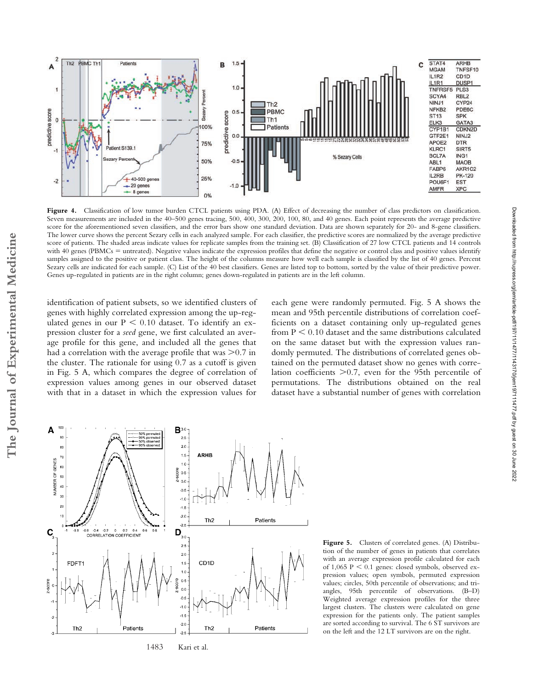

Figure 4. Classification of low tumor burden CTCL patients using PDA. (A) Effect of decreasing the number of class predictors on classification. Seven measurements are included in the 40–500 genes tracing, 500, 400, 300, 200, 100, 80, and 40 genes. Each point represents the average predictive score for the aforementioned seven classifiers, and the error bars show one standard deviation. Data are shown separately for 20- and 8-gene classifiers. The lower curve shows the percent Sezary cells in each analyzed sample. For each classifier, the predictive scores are normalized by the average predictive score of patients. The shaded areas indicate values for replicate samples from the training set. (B) Classification of 27 low CTCL patients and 14 controls with 40 genes (PBMCs = untreated). Negative values indicate the expression profiles that define the negative or control class and positive values identify samples assigned to the positive or patient class. The height of the columns measure how well each sample is classified by the list of 40 genes. Percent Sezary cells are indicated for each sample. (C) List of the 40 best classifiers. Genes are listed top to bottom, sorted by the value of their predictive power. Genes up-regulated in patients are in the right column; genes down-regulated in patients are in the left column.

identification of patient subsets, so we identified clusters of genes with highly correlated expression among the up-regulated genes in our  $P < 0.10$  dataset. To identify an expression cluster for a *seed* gene, we first calculated an average profile for this gene, and included all the genes that had a correlation with the average profile that was  $>$ 0.7 in the cluster. The rationale for using 0.7 as a cutoff is given in Fig. 5 A, which compares the degree of correlation of expression values among genes in our observed dataset with that in a dataset in which the expression values for

each gene were randomly permuted. Fig. 5 A shows the mean and 95th percentile distributions of correlation coefficients on a dataset containing only up-regulated genes from  $P < 0.10$  dataset and the same distributions calculated on the same dataset but with the expression values randomly permuted. The distributions of correlated genes obtained on the permuted dataset show no genes with correlation coefficients > 0.7, even for the 95th percentile of permutations. The distributions obtained on the real dataset have a substantial number of genes with correlation



Figure 5. Clusters of correlated genes. (A) Distribution of the number of genes in patients that correlates with an average expression profile calculated for each of  $1,065$  P  $\leq 0.1$  genes: closed symbols, observed expression values; open symbols, permuted expression values; circles, 50th percentile of observations; and triangles, 95th percentile of observations. (B–D) Weighted average expression profiles for the three largest clusters. The clusters were calculated on gene expression for the patients only. The patient samples are sorted according to survival. The 6 ST survivors are on the left and the 12 LT survivors are on the right.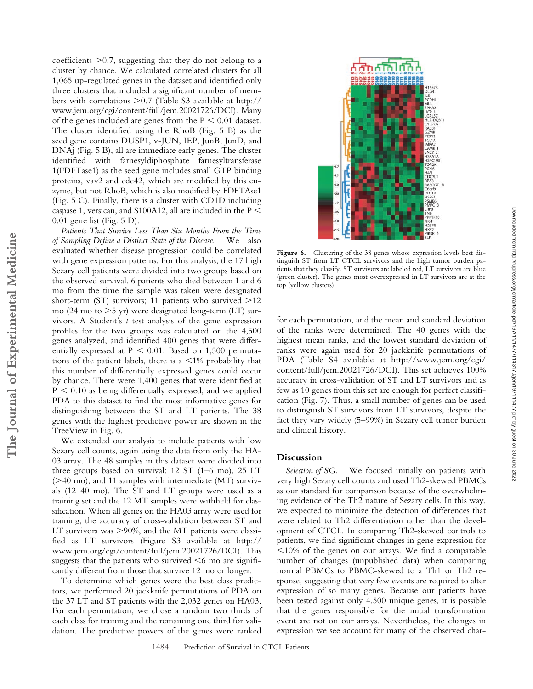$coefficients$   $>0.7$ , suggesting that they do not belong to a cluster by chance. We calculated correlated clusters for all 1,065 up-regulated genes in the dataset and identified only three clusters that included a significant number of members with correlations -0.7 (Table S3 available at http:// www.jem.org/cgi/content/full/jem.20021726/DCI). Many of the genes included are genes from the  $P < 0.01$  dataset. The cluster identified using the RhoB (Fig. 5 B) as the seed gene contains DUSP1, v-JUN, IEP, JunB, JunD, and DNAj (Fig. 5 B), all are immediate early genes. The cluster identified with farnesyldiphosphate farnesyltransferase 1(FDFTase1) as the seed gene includes small GTP binding proteins, vav2 and cdc42, which are modified by this enzyme, but not RhoB, which is also modified by FDFTAse1 (Fig. 5 C). Finally, there is a cluster with CD1D including caspase 1, versican, and S100A12, all are included in the P 0.01 gene list (Fig. 5 D).

*Patients That Survive Less Than Six Months From the Time of Sampling Define a Distinct State of the Disease.* We also evaluated whether disease progression could be correlated with gene expression patterns. For this analysis, the 17 high Sezary cell patients were divided into two groups based on the observed survival. 6 patients who died between 1 and 6 mo from the time the sample was taken were designated short-term (ST) survivors; 11 patients who survived >12 mo (24 mo to  $>5$  yr) were designated long-term (LT) survivors. A Student's *t* test analysis of the gene expression profiles for the two groups was calculated on the 4,500 genes analyzed, and identified 400 genes that were differentially expressed at  $P < 0.01$ . Based on 1,500 permutations of the patient labels, there is a  $\leq 1\%$  probability that this number of differentially expressed genes could occur by chance. There were 1,400 genes that were identified at  $P < 0.10$  as being differentially expressed, and we applied PDA to this dataset to find the most informative genes for distinguishing between the ST and LT patients. The 38 genes with the highest predictive power are shown in the TreeView in Fig. 6.

**The Journal of Experimental Medicine**

The Journal of Experimental Medicine

We extended our analysis to include patients with low Sezary cell counts, again using the data from only the HA-03 array. The 48 samples in this dataset were divided into three groups based on survival: 12 ST (1–6 mo), 25 LT (>40 mo), and 11 samples with intermediate (MT) survivals (12–40 mo). The ST and LT groups were used as a training set and the 12 MT samples were withheld for classification. When all genes on the HA03 array were used for training, the accuracy of cross-validation between ST and LT survivors was >90%, and the MT patients were classified as LT survivors (Figure S3 available at http:// www.jem.org/cgi/content/full/jem.20021726/DCI). This suggests that the patients who survived  $\leq 6$  mo are significantly different from those that survive 12 mo or longer.

To determine which genes were the best class predictors, we performed 20 jackknife permutations of PDA on the 37 LT and ST patients with the 2,032 genes on HA03. For each permutation, we chose a random two thirds of each class for training and the remaining one third for validation. The predictive powers of the genes were ranked



Figure 6. Clustering of the 38 genes whose expression levels best distinguish ST from LT CTCL survivors and the high tumor burden patients that they classify. ST survivors are labeled red, LT survivors are blue (green cluster). The genes most overexpressed in LT survivors are at the top (yellow clusters).

for each permutation, and the mean and standard deviation of the ranks were determined. The 40 genes with the highest mean ranks, and the lowest standard deviation of ranks were again used for 20 jackknife permutations of PDA (Table S4 available at http://www.jem.org/cgi/ content/full/jem.20021726/DCI). This set achieves 100% accuracy in cross-validation of ST and LT survivors and as few as 10 genes from this set are enough for perfect classification (Fig. 7). Thus, a small number of genes can be used to distinguish ST survivors from LT survivors, despite the fact they vary widely (5–99%) in Sezary cell tumor burden and clinical history.

# **Discussion**

*Selection of SG.* We focused initially on patients with very high Sezary cell counts and used Th2-skewed PBMCs as our standard for comparison because of the overwhelming evidence of the Th2 nature of Sezary cells. In this way, we expected to minimize the detection of differences that were related to Th2 differentiation rather than the development of CTCL. In comparing Th2-skewed controls to patients, we find significant changes in gene expression for  $10\%$  of the genes on our arrays. We find a comparable number of changes (unpublished data) when comparing normal PBMCs to PBMC-skewed to a Th1 or Th2 response, suggesting that very few events are required to alter expression of so many genes. Because our patients have been tested against only 4,500 unique genes, it is possible that the genes responsible for the initial transformation event are not on our arrays. Nevertheless, the changes in expression we see account for many of the observed char-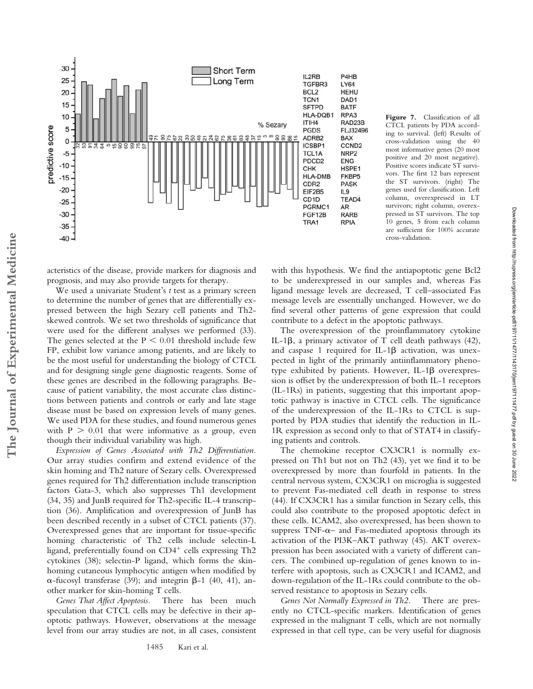



Downloaded from http://rupress.org/jem/article-pdf/197/11/1477/1143170/jem197111477.pdf by guest on 30 June 2022

Downloaded from http://rupress.org/jem/article-pdf/197/11/143170/jem197111477.pdf by guest on 30 June 2022

acteristics of the disease, provide markers for diagnosis and prognosis, and may also provide targets for therapy.

We used a univariate Student's *t* test as a primary screen to determine the number of genes that are differentially expressed between the high Sezary cell patients and Th2 skewed controls. We set two thresholds of significance that were used for the different analyses we performed (33). The genes selected at the  $P < 0.01$  threshold include few FP, exhibit low variance among patients, and are likely to be the most useful for understanding the biology of CTCL and for designing single gene diagnostic reagents. Some of these genes are described in the following paragraphs. Because of patient variability, the most accurate class distinctions between patients and controls or early and late stage disease must be based on expression levels of many genes. We used PDA for these studies, and found numerous genes with  $P > 0.01$  that were informative as a group, even though their individual variability was high.

*Expression of Genes Associated with Th2 Differentiation.* Our array studies confirm and extend evidence of the skin homing and Th2 nature of Sezary cells. Overexpressed genes required for Th2 differentiation include transcription factors Gata-3, which also suppresses Th1 development (34, 35) and JunB required for Th2-specific IL-4 transcription (36). Amplification and overexpression of JunB has been described recently in a subset of CTCL patients (37). Overexpressed genes that are important for tissue-specific homing characteristic of Th2 cells include selectin-L ligand, preferentially found on  $CD4^+$  cells expressing Th2 cytokines (38); selectin-P ligand, which forms the skinhoming cutaneous lymphocytic antigen when modified by  $\alpha$ -fucosyl transferase (39); and integrin  $\beta$ -1 (40, 41), another marker for skin-homing T cells.

*Genes That Affect Apoptosis.* There has been much speculation that CTCL cells may be defective in their apoptotic pathways. However, observations at the message level from our array studies are not, in all cases, consistent

with this hypothesis. We find the antiapoptotic gene Bcl2 to be underexpressed in our samples and, whereas Fas ligand message levels are decreased, T cell–associated Fas message levels are essentially unchanged. However, we do find several other patterns of gene expression that could contribute to a defect in the apoptotic pathways.

The overexpression of the proinflammatory cytokine IL-1 $\beta$ , a primary activator of T cell death pathways (42), and caspase 1 required for IL-1 $\beta$  activation, was unexpected in light of the primarily antiinflammatory phenotype exhibited by patients. However, IL-1 $\beta$  overexpression is offset by the underexpression of both IL-1 receptors (IL-1Rs) in patients, suggesting that this important apoptotic pathway is inactive in CTCL cells. The significance of the underexpression of the IL-1Rs to CTCL is supported by PDA studies that identify the reduction in IL-1R expression as second only to that of STAT4 in classifying patients and controls.

The chemokine receptor CX3CR1 is normally expressed on Th1 but not on Th2 (43), yet we find it to be overexpressed by more than fourfold in patients. In the central nervous system, CX3CR1 on microglia is suggested to prevent Fas-mediated cell death in response to stress (44). If CX3CR1 has a similar function in Sezary cells, this could also contribute to the proposed apoptotic defect in these cells. ICAM2, also overexpressed, has been shown to suppress  $TNF-\alpha-$  and Fas-mediated apoptosis through its activation of the PI3K–AKT pathway (45). AKT overexpression has been associated with a variety of different cancers. The combined up-regulation of genes known to interfere with apoptosis, such as CX3CR1 and ICAM2, and down-regulation of the IL-1Rs could contribute to the observed resistance to apoptosis in Sezary cells.

*Genes Not Normally Expressed in Th2.* There are presently no CTCL-specific markers. Identification of genes expressed in the malignant T cells, which are not normally expressed in that cell type, can be very useful for diagnosis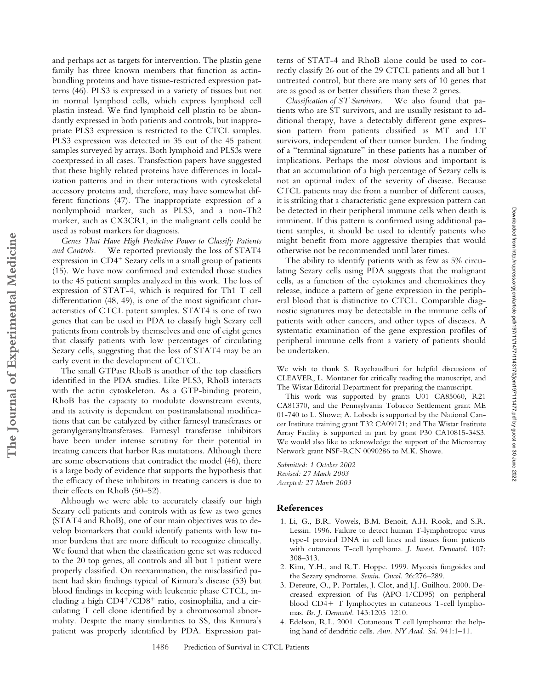and perhaps act as targets for intervention. The plastin gene family has three known members that function as actinbundling proteins and have tissue-restricted expression patterns (46). PLS3 is expressed in a variety of tissues but not in normal lymphoid cells, which express lymphoid cell plastin instead. We find lymphoid cell plastin to be abundantly expressed in both patients and controls, but inappropriate PLS3 expression is restricted to the CTCL samples. PLS3 expression was detected in 35 out of the 45 patient samples surveyed by arrays. Both lymphoid and PLS3s were coexpressed in all cases. Transfection papers have suggested that these highly related proteins have differences in localization patterns and in their interactions with cytoskeletal accessory proteins and, therefore, may have somewhat different functions (47). The inappropriate expression of a nonlymphoid marker, such as PLS3, and a non-Th2 marker, such as CX3CR1, in the malignant cells could be used as robust markers for diagnosis.

*Genes That Have High Predictive Power to Classify Patients and Controls.* We reported previously the loss of STAT4 expression in  $CD4<sup>+</sup>$  Sezary cells in a small group of patients (15). We have now confirmed and extended those studies to the 45 patient samples analyzed in this work. The loss of expression of STAT-4, which is required for Th1 T cell differentiation (48, 49), is one of the most significant characteristics of CTCL patent samples. STAT4 is one of two genes that can be used in PDA to classify high Sezary cell patients from controls by themselves and one of eight genes that classify patients with low percentages of circulating Sezary cells, suggesting that the loss of STAT4 may be an early event in the development of CTCL.

**The Journal of Experimental Medicine**

The Journal of Experimental Medicine

The small GTPase RhoB is another of the top classifiers identified in the PDA studies. Like PLS3, RhoB interacts with the actin cytoskeleton. As a GTP-binding protein, RhoB has the capacity to modulate downstream events, and its activity is dependent on posttranslational modifications that can be catalyzed by either farnesyl transferases or geranylgeranyltransferases. Farnesyl transferase inhibitors have been under intense scrutiny for their potential in treating cancers that harbor Ras mutations. Although there are some observations that contradict the model (46), there is a large body of evidence that supports the hypothesis that the efficacy of these inhibitors in treating cancers is due to their effects on RhoB (50–52).

Although we were able to accurately classify our high Sezary cell patients and controls with as few as two genes (STAT4 and RhoB), one of our main objectives was to develop biomarkers that could identify patients with low tumor burdens that are more difficult to recognize clinically. We found that when the classification gene set was reduced to the 20 top genes, all controls and all but 1 patient were properly classified. On reexamination, the misclassified patient had skin findings typical of Kimura's disease (53) but blood findings in keeping with leukemic phase CTCL, including a high  $CD4^{+}/CD8^{+}$  ratio, eosinophilia, and a circulating T cell clone identified by a chromosomal abnormality. Despite the many similarities to SS, this Kimura's patient was properly identified by PDA. Expression patterns of STAT-4 and RhoB alone could be used to correctly classify 26 out of the 29 CTCL patients and all but 1 untreated control, but there are many sets of 10 genes that are as good as or better classifiers than these 2 genes.

*Classification of ST Survivors.* We also found that patients who are ST survivors, and are usually resistant to additional therapy, have a detectably different gene expression pattern from patients classified as MT and LT survivors, independent of their tumor burden. The finding of a "terminal signature" in these patients has a number of implications. Perhaps the most obvious and important is that an accumulation of a high percentage of Sezary cells is not an optimal index of the severity of disease. Because CTCL patients may die from a number of different causes, it is striking that a characteristic gene expression pattern can be detected in their peripheral immune cells when death is imminent. If this pattern is confirmed using additional patient samples, it should be used to identify patients who might benefit from more aggressive therapies that would otherwise not be recommended until later times.

The ability to identify patients with as few as 5% circulating Sezary cells using PDA suggests that the malignant cells, as a function of the cytokines and chemokines they release, induce a pattern of gene expression in the peripheral blood that is distinctive to CTCL. Comparable diagnostic signatures may be detectable in the immune cells of patients with other cancers, and other types of diseases. A systematic examination of the gene expression profiles of peripheral immune cells from a variety of patients should be undertaken.

We wish to thank S. Raychaudhuri for helpful discussions of CLEAVER, L. Montaner for critically reading the manuscript, and The Wistar Editorial Department for preparing the manuscript.

This work was supported by grants U01 CA85060, R21 CA81370, and the Pennsylvania Tobacco Settlement grant ME 01-740 to L. Showe; A. Loboda is supported by the National Cancer Institute training grant T32 CA09171; and The Wistar Institute Array Facility is supported in part by grant P30 CA10815-34S3. We would also like to acknowledge the support of the Microarray Network grant NSF-RCN 0090286 to M.K. Showe.

*Submitted: 1 October 2002 Revised: 27 March 2003 Accepted: 27 March 2003*

#### **References**

- 1. Li, G., B.R. Vowels, B.M. Benoit, A.H. Rook, and S.R. Lessin. 1996. Failure to detect human T-lymphotropic virus type-I proviral DNA in cell lines and tissues from patients with cutaneous T-cell lymphoma. *J. Invest. Dermatol.* 107: 308–313.
- 2. Kim, Y.H., and R.T. Hoppe. 1999. Mycosis fungoides and the Sezary syndrome. *Semin. Oncol.* 26:276–289.
- 3. Dereure, O., P. Portales, J. Clot, and J.J. Guilhou. 2000. Decreased expression of Fas (APO-1/CD95) on peripheral blood CD4+ T lymphocytes in cutaneous T-cell lymphomas. *Br. J. Dermatol.* 143:1205–1210.
- 4. Edelson, R.L. 2001. Cutaneous T cell lymphoma: the helping hand of dendritic cells. *Ann. NY Acad. Sci.* 941:1–11.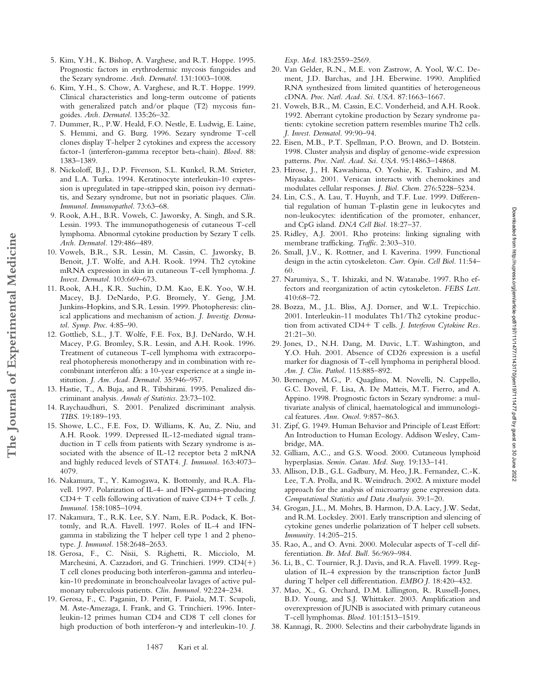- 5. Kim, Y.H., K. Bishop, A. Varghese, and R.T. Hoppe. 1995. Prognostic factors in erythrodermic mycosis fungoides and the Sezary syndrome. *Arch. Dermatol.* 131:1003–1008.
- 6. Kim, Y.H., S. Chow, A. Varghese, and R.T. Hoppe. 1999. Clinical characteristics and long-term outcome of patients with generalized patch and/or plaque (T2) mycosis fungoides. *Arch. Dermatol.* 135:26–32.
- 7. Dummer, R., P.W. Heald, F.O. Nestle, E. Ludwig, E. Laine, S. Hemmi, and G. Burg. 1996. Sezary syndrome T-cell clones display T-helper 2 cytokines and express the accessory factor-1 (interferon-gamma receptor beta-chain). *Blood.* 88: 1383–1389.
- 8. Nickoloff, B.J., D.P. Fivenson, S.L. Kunkel, R.M. Strieter, and L.A. Turka. 1994. Keratinocyte interleukin-10 expression is upregulated in tape-stripped skin, poison ivy dermatitis, and Sezary syndrome, but not in psoriatic plaques. *Clin. Immunol. Immunopathol.* 73:63–68.
- 9. Rook, A.H., B.R. Vowels, C. Jaworsky, A. Singh, and S.R. Lessin. 1993. The immunopathogenesis of cutaneous T-cell lymphoma. Abnormal cytokine production by Sezary T cells. *Arch. Dermatol.* 129:486–489.
- 10. Vowels, B.R., S.R. Lessin, M. Cassin, C. Jaworsky, B. Benoit, J.T. Wolfe, and A.H. Rook. 1994. Th2 cytokine mRNA expression in skin in cutaneous T-cell lymphoma. *J. Invest. Dermatol.* 103:669–673.
- 11. Rook, A.H., K.R. Suchin, D.M. Kao, E.K. Yoo, W.H. Macey, B.J. DeNardo, P.G. Bromely, Y. Geng, J.M. Junkins-Hopkins, and S.R. Lessin. 1999. Photopheresis: clinical applications and mechanism of action. *J. Investig. Dermatol. Symp. Proc.* 4:85–90.
- 12. Gottlieb, S.L., J.T. Wolfe, F.E. Fox, B.J. DeNardo, W.H. Macey, P.G. Bromley, S.R. Lessin, and A.H. Rook. 1996. Treatment of cutaneous T-cell lymphoma with extracorporeal photopheresis monotherapy and in combination with recombinant interferon alfa: a 10-year experience at a single institution. *J. Am. Acad. Dermatol.* 35:946–957.

**The Journal of Experimental Medicine**

The Journal of Experimental Medicine

- 13. Hastie, T., A. Buja, and R. Tibshirani. 1995. Penalized discriminant analysis. *Annals of Statistics.* 23:73–102.
- 14. Raychaudhuri, S. 2001. Penalized discriminant analysis. *TIBS.* 19:189–193.
- 15. Showe, L.C., F.E. Fox, D. Williams, K. Au, Z. Niu, and A.H. Rook. 1999. Depressed IL-12-mediated signal transduction in T cells from patients with Sezary syndrome is associated with the absence of IL-12 receptor beta 2 mRNA and highly reduced levels of STAT4. *J. Immunol.* 163:4073– 4079.
- 16. Nakamura, T., Y. Kamogawa, K. Bottomly, and R.A. Flavell. 1997. Polarization of IL-4- and IFN-gamma-producing CD4 T cells following activation of naive CD4 T cells. *J. Immunol.* 158:1085–1094.
- 17. Nakamura, T., R.K. Lee, S.Y. Nam, E.R. Podack, K. Bottomly, and R.A. Flavell. 1997. Roles of IL-4 and IFNgamma in stabilizing the T helper cell type 1 and 2 phenotype. *J. Immunol.* 158:2648–2653.
- 18. Gerosa, F., C. Nisii, S. Righetti, R. Micciolo, M. Marchesini, A. Cazzadori, and G. Trinchieri. 1999. CD4(+) T cell clones producing both interferon-gamma and interleukin-10 predominate in bronchoalveolar lavages of active pulmonary tuberculosis patients. *Clin. Immunol.* 92:224–234.
- 19. Gerosa, F., C. Paganin, D. Peritt, F. Paiola, M.T. Scupoli, M. Aste-Amezaga, I. Frank, and G. Trinchieri. 1996. Interleukin-12 primes human CD4 and CD8 T cell clones for high production of both interferon- $\gamma$  and interleukin-10. *J*.

*Exp. Med.* 183:2559–2569.

- 20. Van Gelder, R.N., M.E. von Zastrow, A. Yool, W.C. Dement, J.D. Barchas, and J.H. Eberwine. 1990. Amplified RNA synthesized from limited quantities of heterogeneous cDNA. *Proc. Natl. Acad. Sci. USA.* 87:1663–1667.
- 21. Vowels, B.R., M. Cassin, E.C. Vonderheid, and A.H. Rook. 1992. Aberrant cytokine production by Sezary syndrome patients: cytokine secretion pattern resembles murine Th2 cells. *J. Invest. Dermatol.* 99:90–94.
- 22. Eisen, M.B., P.T. Spellman, P.O. Brown, and D. Botstein. 1998. Cluster analysis and display of genome-wide expression patterns. *Proc. Natl. Acad. Sci. USA.* 95:14863–14868.
- 23. Hirose, J., H. Kawashima, O. Yoshie, K. Tashiro, and M. Miyasaka. 2001. Versican interacts with chemokines and modulates cellular responses. *J. Biol. Chem.* 276:5228–5234.
- 24. Lin, C.S., A. Lau, T. Huynh, and T.F. Lue. 1999. Differential regulation of human T-plastin gene in leukocytes and non-leukocytes: identification of the promoter, enhancer, and CpG island. *DNA Cell Biol.* 18:27–37.
- 25. Ridley, A.J. 2001. Rho proteins: linking signaling with membrane trafficking. *Traffic.* 2:303–310.
- 26. Small, J.V., K. Rottner, and I. Kaverina. 1999. Functional design in the actin cytoskeleton. *Curr. Opin. Cell Biol.* 11:54– 60.
- 27. Narumiya, S., T. Ishizaki, and N. Watanabe. 1997. Rho effectors and reorganization of actin cytoskeleton. *FEBS Lett.* 410:68–72.
- 28. Bozza, M., J.L. Bliss, A.J. Dorner, and W.L. Trepicchio. 2001. Interleukin-11 modulates Th1/Th2 cytokine production from activated CD4+ T cells. *J. Interferon Cytokine Res.* 21:21–30.
- 29. Jones, D., N.H. Dang, M. Duvic, L.T. Washington, and Y.O. Huh. 2001. Absence of CD26 expression is a useful marker for diagnosis of T-cell lymphoma in peripheral blood. *Am. J. Clin. Pathol.* 115:885–892.
- 30. Bernengo, M.G., P. Quaglino, M. Novelli, N. Cappello, G.C. Doveil, F. Lisa, A. De Matteis, M.T. Fierro, and A. Appino. 1998. Prognostic factors in Sezary syndrome: a multivariate analysis of clinical, haematological and immunological features. *Ann. Oncol.* 9:857–863.
- 31. Zipf, G. 1949. Human Behavior and Principle of Least Effort: An Introduction to Human Ecology. Addison Wesley, Cambridge, MA.
- 32. Gilliam, A.C., and G.S. Wood. 2000. Cutaneous lymphoid hyperplasias. *Semin. Cutan. Med. Surg.* 19:133–141.
- 33. Allison, D.B., G.L. Gadbury, M. Heo, J.R. Fernandez, C.-K. Lee, T.A. Prolla, and R. Weindruch. 2002. A mixture model approach for the analysis of microarray gene expression data. *Computational Statistics and Data Analysis.* 39:1–20.
- 34. Grogan, J.L., M. Mohrs, B. Harmon, D.A. Lacy, J.W. Sedat, and R.M. Locksley. 2001. Early transcription and silencing of cytokine genes underlie polarization of T helper cell subsets. *Immunity.* 14:205–215.
- 35. Rao, A., and O. Avni. 2000. Molecular aspects of T-cell differentiation. *Br. Med. Bull.* 56:969–984.
- 36. Li, B., C. Tournier, R.J. Davis, and R.A. Flavell. 1999. Regulation of IL-4 expression by the transcription factor JunB during T helper cell differentiation. *EMBO J.* 18:420–432.
- 37. Mao, X., G. Orchard, D.M. Lillington, R. Russell-Jones, B.D. Young, and S.J. Whittaker. 2003. Amplification and overexpression of JUNB is associated with primary cutaneous T-cell lymphomas. *Blood.* 101:1513–1519.
- 38. Kannagi, R. 2000. Selectins and their carbohydrate ligands in